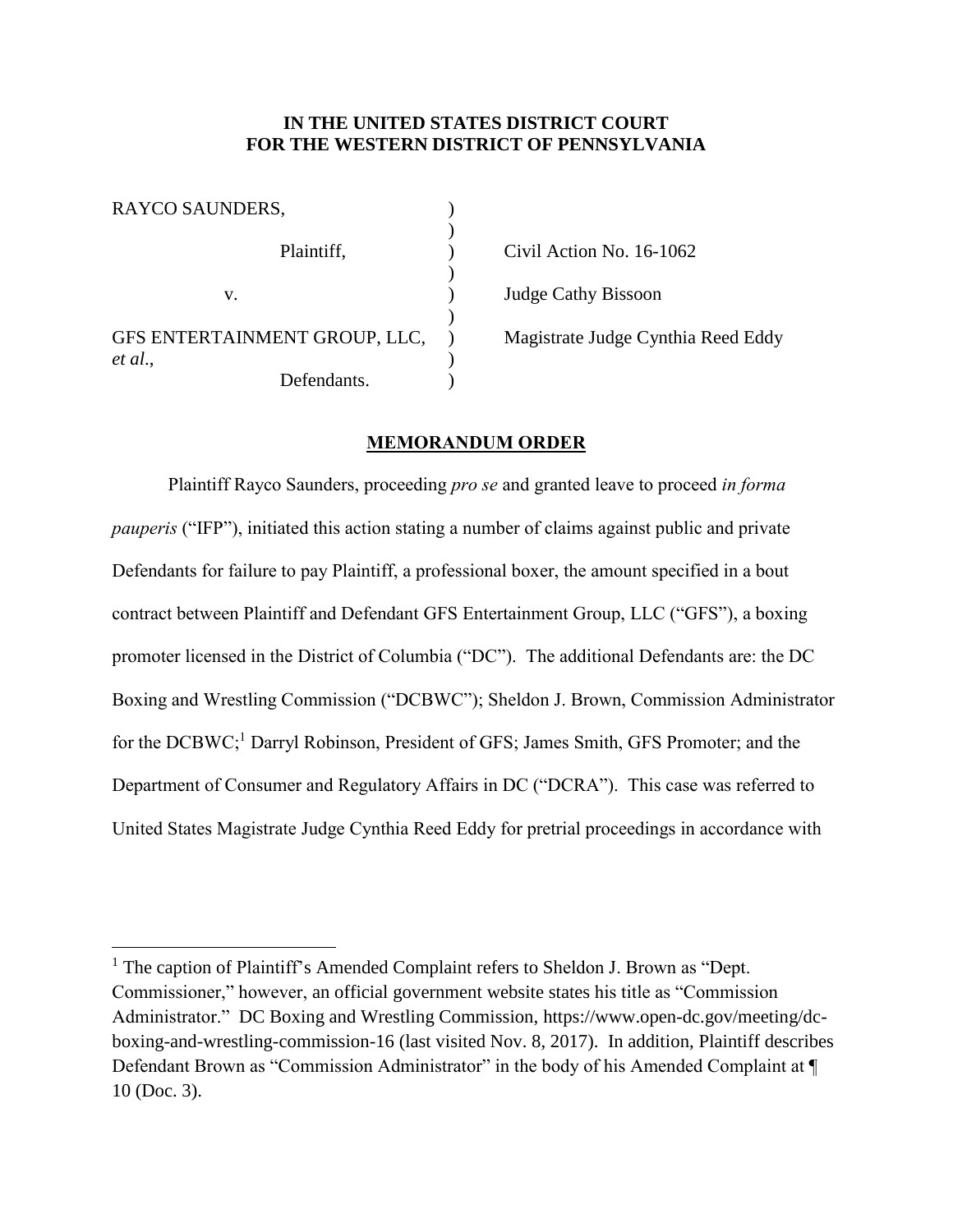### **IN THE UNITED STATES DISTRICT COURT FOR THE WESTERN DISTRICT OF PENNSYLVANIA**

| RAYCO SAUNDERS,               |  |
|-------------------------------|--|
| Plaintiff,                    |  |
| V.                            |  |
| GFS ENTERTAINMENT GROUP, LLC, |  |
| et al.,<br>Defendants.        |  |

 $\overline{a}$ 

Civil Action No. 16-1062 Judge Cathy Bissoon Magistrate Judge Cynthia Reed Eddy

#### **MEMORANDUM ORDER**

Plaintiff Rayco Saunders, proceeding *pro se* and granted leave to proceed *in forma pauperis* ("IFP"), initiated this action stating a number of claims against public and private Defendants for failure to pay Plaintiff, a professional boxer, the amount specified in a bout contract between Plaintiff and Defendant GFS Entertainment Group, LLC ("GFS"), a boxing promoter licensed in the District of Columbia ("DC"). The additional Defendants are: the DC Boxing and Wrestling Commission ("DCBWC"); Sheldon J. Brown, Commission Administrator for the DCBWC;<sup>1</sup> Darryl Robinson, President of GFS; James Smith, GFS Promoter; and the Department of Consumer and Regulatory Affairs in DC ("DCRA"). This case was referred to United States Magistrate Judge Cynthia Reed Eddy for pretrial proceedings in accordance with

<sup>&</sup>lt;sup>1</sup> The caption of Plaintiff's Amended Complaint refers to Sheldon J. Brown as "Dept. Commissioner," however, an official government website states his title as "Commission Administrator." DC Boxing and Wrestling Commission, https://www.open-dc.gov/meeting/dcboxing-and-wrestling-commission-16 (last visited Nov. 8, 2017). In addition, Plaintiff describes Defendant Brown as "Commission Administrator" in the body of his Amended Complaint at  $\P$ 10 (Doc. 3).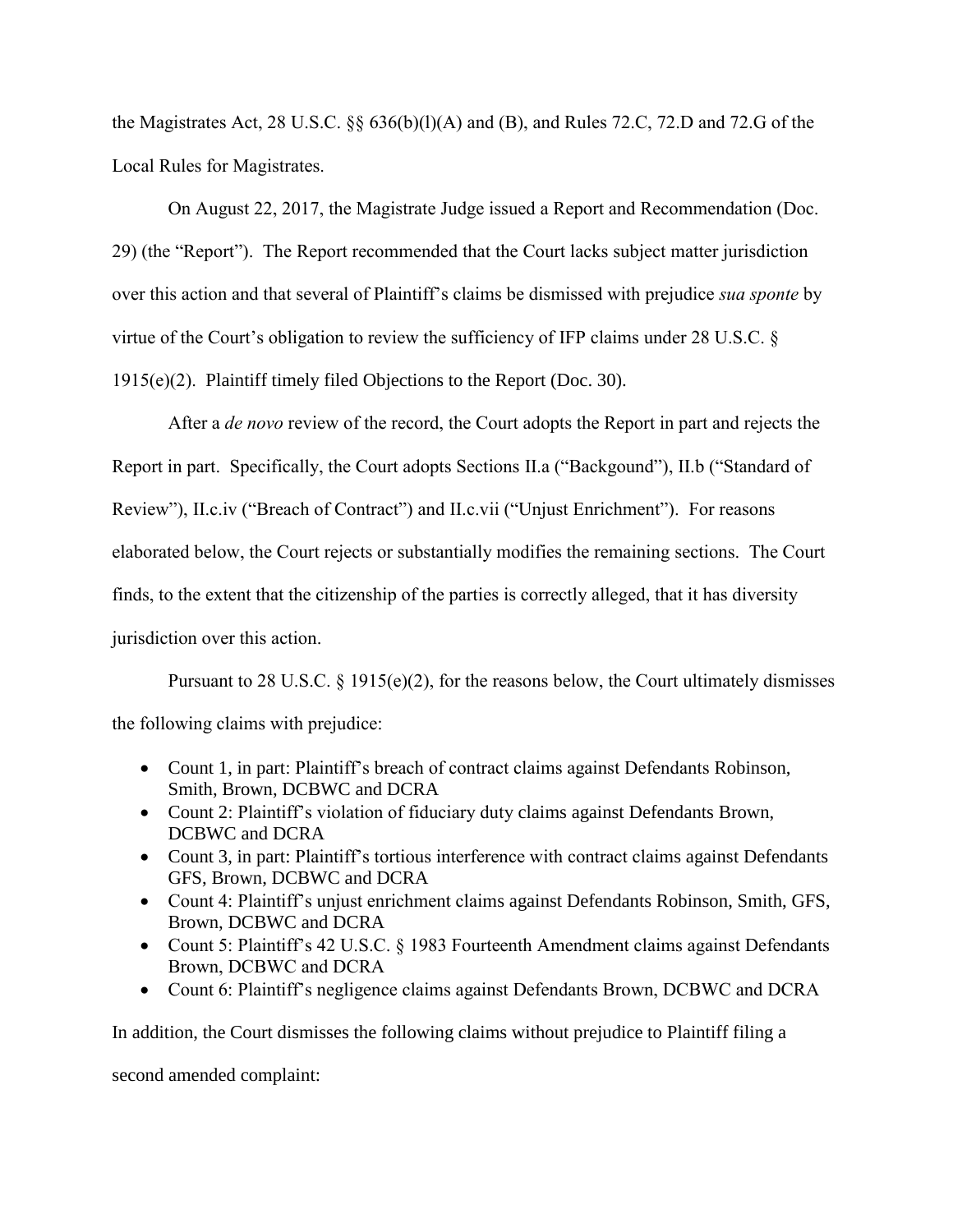the Magistrates Act, 28 U.S.C.  $\&$  636(b)(l)(A) and (B), and Rules 72.C, 72.D and 72.G of the Local Rules for Magistrates.

On August 22, 2017, the Magistrate Judge issued a Report and Recommendation (Doc. 29) (the "Report"). The Report recommended that the Court lacks subject matter jurisdiction over this action and that several of Plaintiff's claims be dismissed with prejudice *sua sponte* by virtue of the Court's obligation to review the sufficiency of IFP claims under 28 U.S.C. § 1915(e)(2). Plaintiff timely filed Objections to the Report (Doc. 30).

After a *de novo* review of the record, the Court adopts the Report in part and rejects the Report in part. Specifically, the Court adopts Sections II.a ("Backgound"), II.b ("Standard of Review"), II.c.iv ("Breach of Contract") and II.c.vii ("Unjust Enrichment"). For reasons elaborated below, the Court rejects or substantially modifies the remaining sections. The Court finds, to the extent that the citizenship of the parties is correctly alleged, that it has diversity jurisdiction over this action.

Pursuant to 28 U.S.C.  $\S$  1915(e)(2), for the reasons below, the Court ultimately dismisses the following claims with prejudice:

- Count 1, in part: Plaintiff's breach of contract claims against Defendants Robinson, Smith, Brown, DCBWC and DCRA
- Count 2: Plaintiff's violation of fiduciary duty claims against Defendants Brown, DCBWC and DCRA
- Count 3, in part: Plaintiff's tortious interference with contract claims against Defendants GFS, Brown, DCBWC and DCRA
- Count 4: Plaintiff's unjust enrichment claims against Defendants Robinson, Smith, GFS, Brown, DCBWC and DCRA
- Count 5: Plaintiff's 42 U.S.C. § 1983 Fourteenth Amendment claims against Defendants Brown, DCBWC and DCRA
- Count 6: Plaintiff's negligence claims against Defendants Brown, DCBWC and DCRA

In addition, the Court dismisses the following claims without prejudice to Plaintiff filing a

second amended complaint: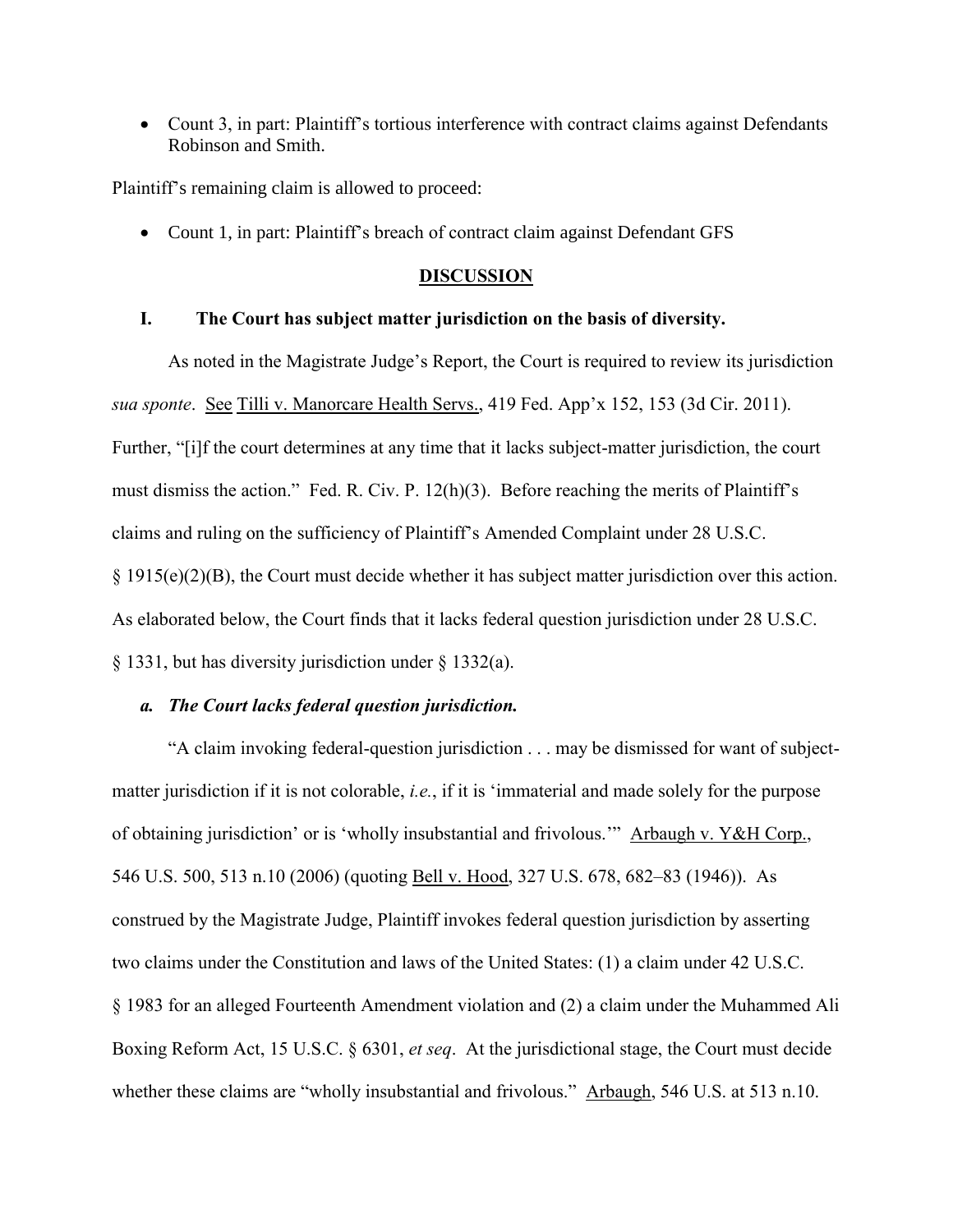• Count 3, in part: Plaintiff's tortious interference with contract claims against Defendants Robinson and Smith.

Plaintiff's remaining claim is allowed to proceed:

• Count 1, in part: Plaintiff's breach of contract claim against Defendant GFS

#### **DISCUSSION**

#### **I. The Court has subject matter jurisdiction on the basis of diversity.**

As noted in the Magistrate Judge's Report, the Court is required to review its jurisdiction *sua sponte*. See Tilli v. Manorcare Health Servs., 419 Fed. App'x 152, 153 (3d Cir. 2011). Further, "[i]f the court determines at any time that it lacks subject-matter jurisdiction, the court must dismiss the action." Fed. R. Civ. P. 12(h)(3). Before reaching the merits of Plaintiff's claims and ruling on the sufficiency of Plaintiff's Amended Complaint under 28 U.S.C. § 1915(e)(2)(B), the Court must decide whether it has subject matter jurisdiction over this action. As elaborated below, the Court finds that it lacks federal question jurisdiction under 28 U.S.C. § 1331, but has diversity jurisdiction under § 1332(a).

#### *a. The Court lacks federal question jurisdiction.*

"A claim invoking federal-question jurisdiction . . . may be dismissed for want of subjectmatter jurisdiction if it is not colorable, *i.e.*, if it is 'immaterial and made solely for the purpose of obtaining jurisdiction' or is 'wholly insubstantial and frivolous.'" Arbaugh v. Y&H Corp., 546 U.S. 500, 513 n.10 (2006) (quoting Bell v. Hood, 327 U.S. 678, 682–83 (1946)). As construed by the Magistrate Judge, Plaintiff invokes federal question jurisdiction by asserting two claims under the Constitution and laws of the United States: (1) a claim under 42 U.S.C. § 1983 for an alleged Fourteenth Amendment violation and (2) a claim under the Muhammed Ali Boxing Reform Act, 15 U.S.C. § 6301, *et seq*. At the jurisdictional stage, the Court must decide whether these claims are "wholly insubstantial and frivolous." Arbaugh, 546 U.S. at 513 n.10.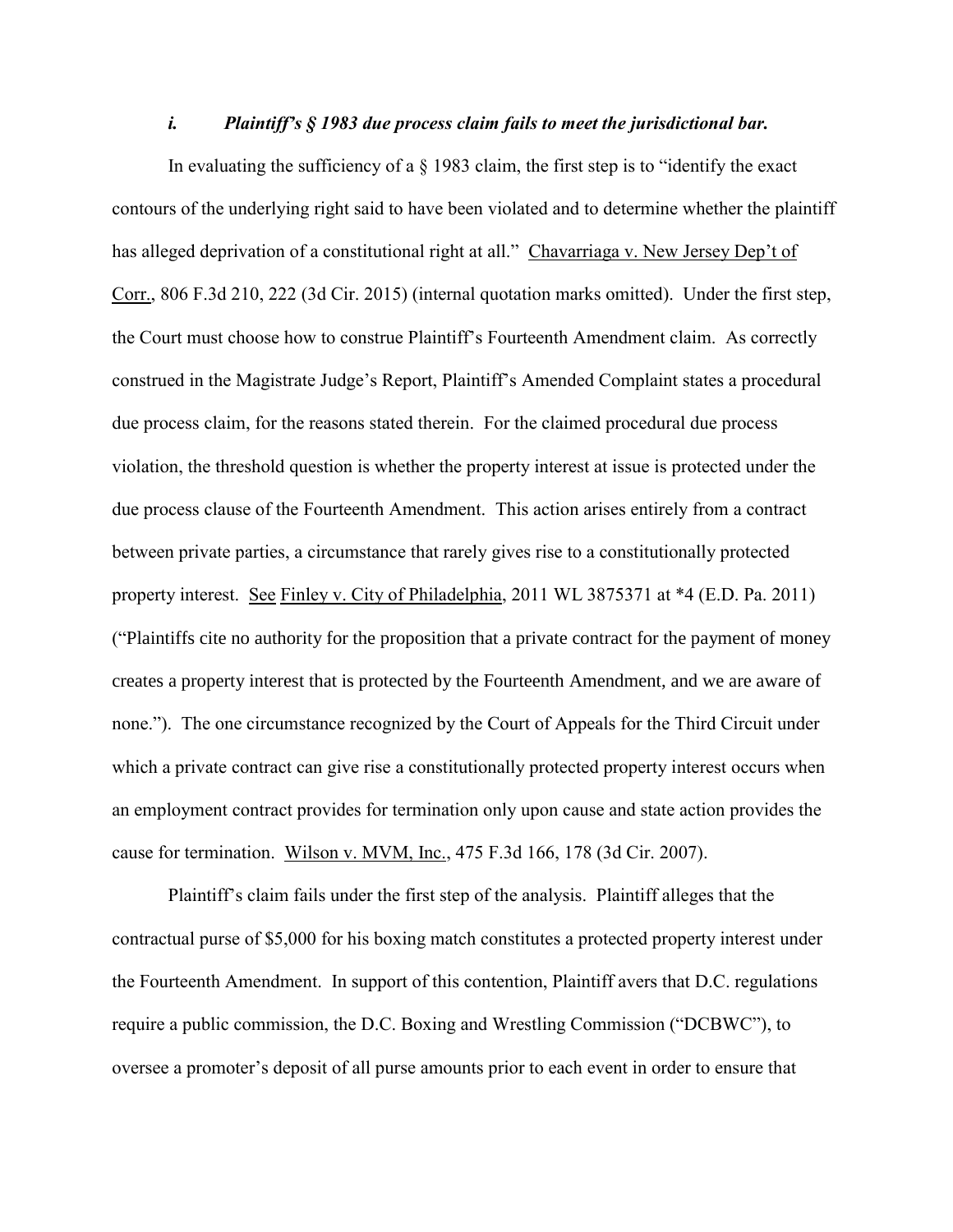#### *i. Plaintiff's § 1983 due process claim fails to meet the jurisdictional bar.*

In evaluating the sufficiency of a § 1983 claim, the first step is to "identify the exact contours of the underlying right said to have been violated and to determine whether the plaintiff has alleged deprivation of a constitutional right at all." Chavarriaga v. New Jersey Dep't of Corr., 806 F.3d 210, 222 (3d Cir. 2015) (internal quotation marks omitted). Under the first step, the Court must choose how to construe Plaintiff's Fourteenth Amendment claim. As correctly construed in the Magistrate Judge's Report, Plaintiff's Amended Complaint states a procedural due process claim, for the reasons stated therein. For the claimed procedural due process violation, the threshold question is whether the property interest at issue is protected under the due process clause of the Fourteenth Amendment. This action arises entirely from a contract between private parties, a circumstance that rarely gives rise to a constitutionally protected property interest. See Finley v. City of Philadelphia, 2011 WL 3875371 at \*4 (E.D. Pa. 2011) ("Plaintiffs cite no authority for the proposition that a private contract for the payment of money creates a property interest that is protected by the Fourteenth Amendment, and we are aware of none."). The one circumstance recognized by the Court of Appeals for the Third Circuit under which a private contract can give rise a constitutionally protected property interest occurs when an employment contract provides for termination only upon cause and state action provides the cause for termination. Wilson v. MVM, Inc., 475 F.3d 166, 178 (3d Cir. 2007).

Plaintiff's claim fails under the first step of the analysis. Plaintiff alleges that the contractual purse of \$5,000 for his boxing match constitutes a protected property interest under the Fourteenth Amendment. In support of this contention, Plaintiff avers that D.C. regulations require a public commission, the D.C. Boxing and Wrestling Commission ("DCBWC"), to oversee a promoter's deposit of all purse amounts prior to each event in order to ensure that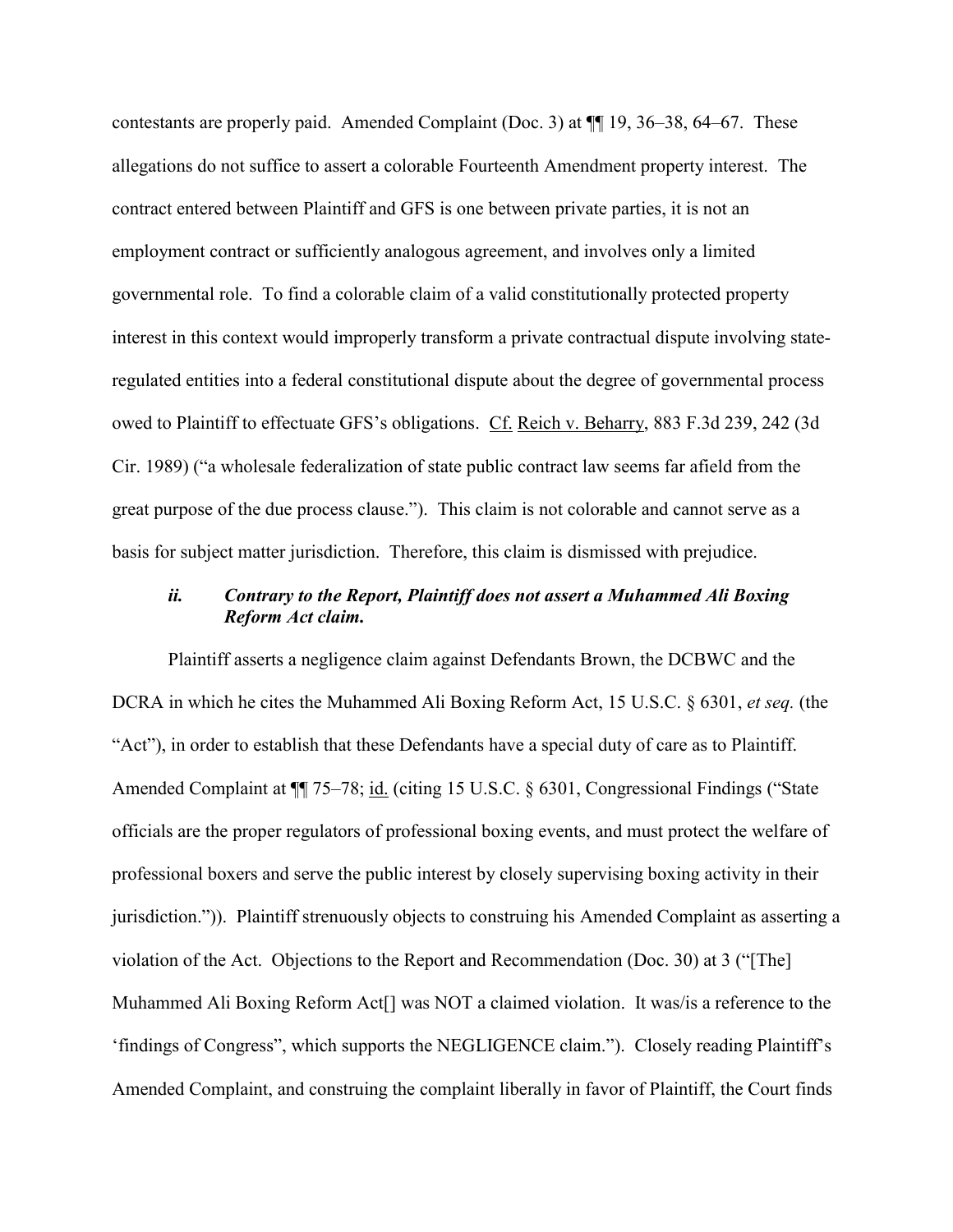contestants are properly paid. Amended Complaint (Doc. 3) at ¶¶ 19, 36–38, 64–67. These allegations do not suffice to assert a colorable Fourteenth Amendment property interest. The contract entered between Plaintiff and GFS is one between private parties, it is not an employment contract or sufficiently analogous agreement, and involves only a limited governmental role. To find a colorable claim of a valid constitutionally protected property interest in this context would improperly transform a private contractual dispute involving stateregulated entities into a federal constitutional dispute about the degree of governmental process owed to Plaintiff to effectuate GFS's obligations. Cf. Reich v. Beharry, 883 F.3d 239, 242 (3d Cir. 1989) ("a wholesale federalization of state public contract law seems far afield from the great purpose of the due process clause."). This claim is not colorable and cannot serve as a basis for subject matter jurisdiction. Therefore, this claim is dismissed with prejudice.

# *ii. Contrary to the Report, Plaintiff does not assert a Muhammed Ali Boxing Reform Act claim.*

Plaintiff asserts a negligence claim against Defendants Brown, the DCBWC and the DCRA in which he cites the Muhammed Ali Boxing Reform Act, 15 U.S.C. § 6301, *et seq.* (the "Act"), in order to establish that these Defendants have a special duty of care as to Plaintiff. Amended Complaint at  $\P$  75–78; id. (citing 15 U.S.C. § 6301, Congressional Findings ("State officials are the proper regulators of professional boxing events, and must protect the welfare of professional boxers and serve the public interest by closely supervising boxing activity in their jurisdiction.")). Plaintiff strenuously objects to construing his Amended Complaint as asserting a violation of the Act. Objections to the Report and Recommendation (Doc. 30) at 3 ("[The] Muhammed Ali Boxing Reform Act[] was NOT a claimed violation. It was/is a reference to the 'findings of Congress", which supports the NEGLIGENCE claim."). Closely reading Plaintiff's Amended Complaint, and construing the complaint liberally in favor of Plaintiff, the Court finds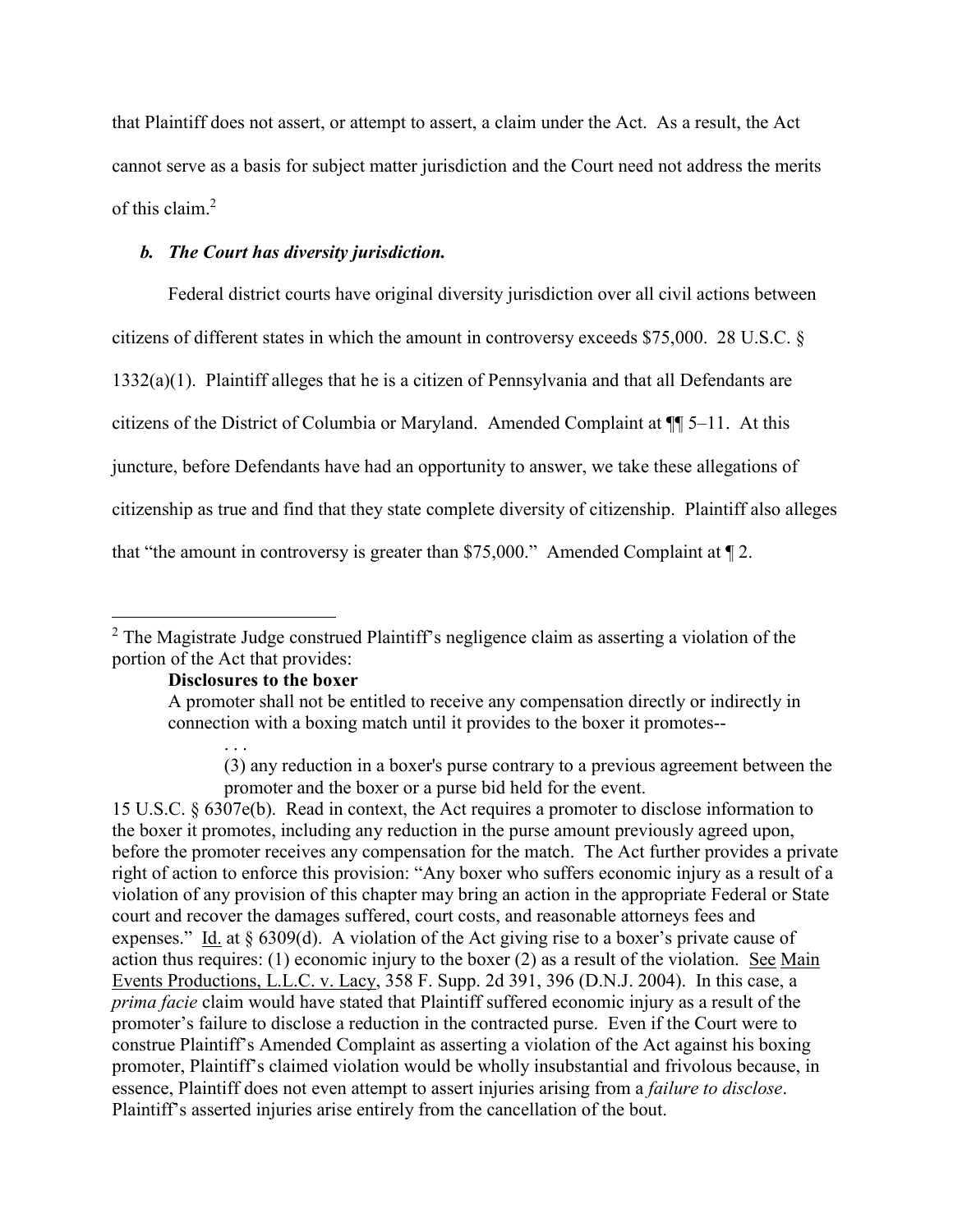that Plaintiff does not assert, or attempt to assert, a claim under the Act. As a result, the Act cannot serve as a basis for subject matter jurisdiction and the Court need not address the merits of this claim. 2

# *b. The Court has diversity jurisdiction.*

Federal district courts have original diversity jurisdiction over all civil actions between citizens of different states in which the amount in controversy exceeds \$75,000. 28 U.S.C. § 1332(a)(1). Plaintiff alleges that he is a citizen of Pennsylvania and that all Defendants are citizens of the District of Columbia or Maryland. Amended Complaint at ¶¶ 5–11. At this juncture, before Defendants have had an opportunity to answer, we take these allegations of citizenship as true and find that they state complete diversity of citizenship. Plaintiff also alleges that "the amount in controversy is greater than \$75,000." Amended Complaint at ¶ 2.

# **Disclosures to the boxer**

A promoter shall not be entitled to receive any compensation directly or indirectly in connection with a boxing match until it provides to the boxer it promotes--

(3) any reduction in a boxer's purse contrary to a previous agreement between the promoter and the boxer or a purse bid held for the event.

15 U.S.C. § 6307e(b). Read in context, the Act requires a promoter to disclose information to the boxer it promotes, including any reduction in the purse amount previously agreed upon, before the promoter receives any compensation for the match. The Act further provides a private right of action to enforce this provision: "Any boxer who suffers economic injury as a result of a violation of any provision of this chapter may bring an action in the appropriate Federal or State court and recover the damages suffered, court costs, and reasonable attorneys fees and expenses." Id. at § 6309(d). A violation of the Act giving rise to a boxer's private cause of action thus requires: (1) economic injury to the boxer (2) as a result of the violation. See Main Events Productions, L.L.C. v. Lacy, 358 F. Supp. 2d 391, 396 (D.N.J. 2004). In this case, a *prima facie* claim would have stated that Plaintiff suffered economic injury as a result of the promoter's failure to disclose a reduction in the contracted purse. Even if the Court were to construe Plaintiff's Amended Complaint as asserting a violation of the Act against his boxing promoter, Plaintiff's claimed violation would be wholly insubstantial and frivolous because, in essence, Plaintiff does not even attempt to assert injuries arising from a *failure to disclose*. Plaintiff's asserted injuries arise entirely from the cancellation of the bout.

 $\overline{a}$  $2^2$  The Magistrate Judge construed Plaintiff's negligence claim as asserting a violation of the portion of the Act that provides: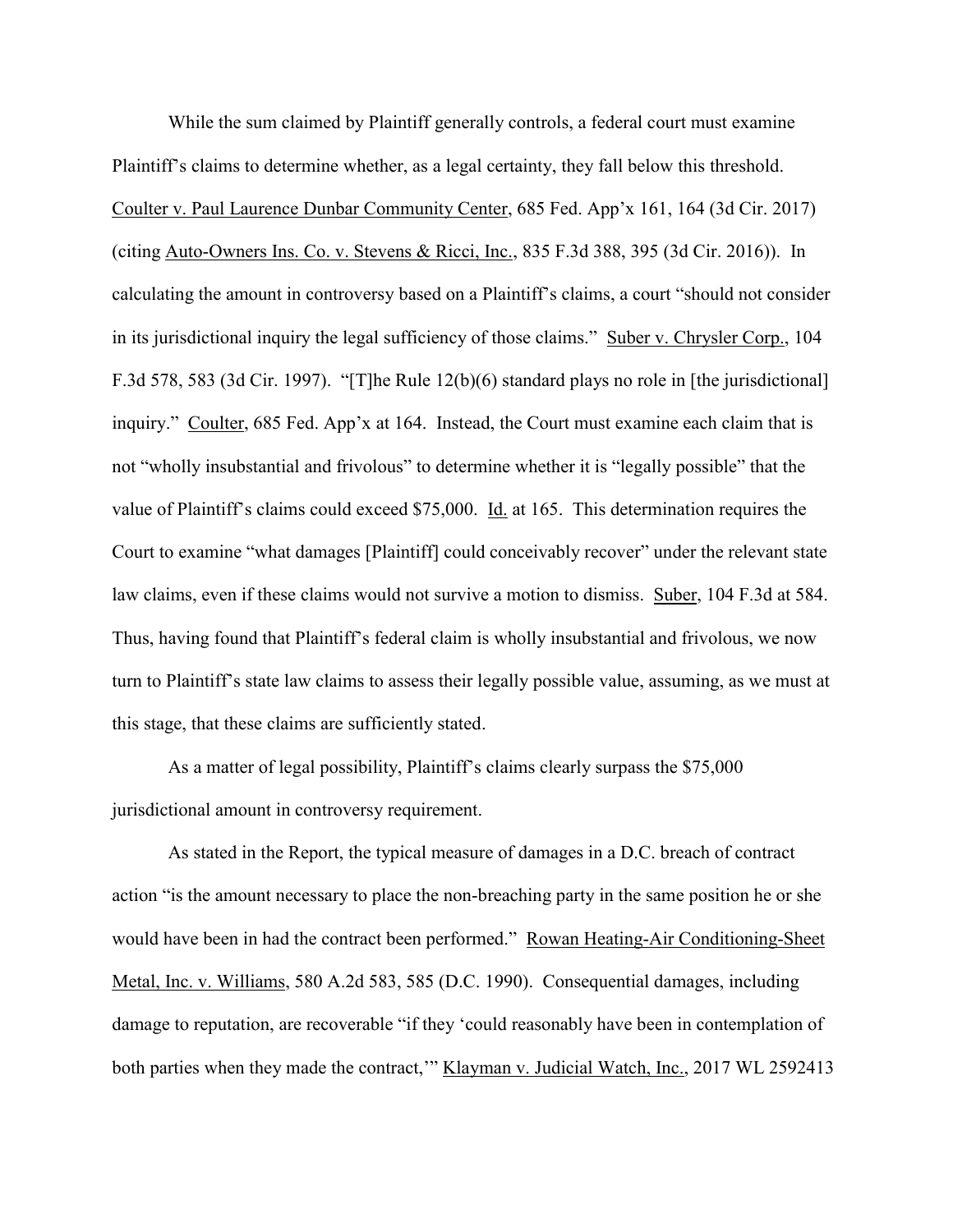While the sum claimed by Plaintiff generally controls, a federal court must examine Plaintiff's claims to determine whether, as a legal certainty, they fall below this threshold. Coulter v. Paul Laurence Dunbar Community Center, 685 Fed. App'x 161, 164 (3d Cir. 2017) (citing Auto-Owners Ins. Co. v. Stevens & Ricci, Inc., 835 F.3d 388, 395 (3d Cir. 2016)). In calculating the amount in controversy based on a Plaintiff's claims, a court "should not consider in its jurisdictional inquiry the legal sufficiency of those claims." Suber v. Chrysler Corp., 104 F.3d 578, 583 (3d Cir. 1997). "[T]he Rule 12(b)(6) standard plays no role in [the jurisdictional] inquiry." Coulter, 685 Fed. App'x at 164. Instead, the Court must examine each claim that is not "wholly insubstantial and frivolous" to determine whether it is "legally possible" that the value of Plaintiff's claims could exceed \$75,000. Id. at 165. This determination requires the Court to examine "what damages [Plaintiff] could conceivably recover" under the relevant state law claims, even if these claims would not survive a motion to dismiss. Suber, 104 F.3d at 584. Thus, having found that Plaintiff's federal claim is wholly insubstantial and frivolous, we now turn to Plaintiff's state law claims to assess their legally possible value, assuming, as we must at this stage, that these claims are sufficiently stated.

As a matter of legal possibility, Plaintiff's claims clearly surpass the \$75,000 jurisdictional amount in controversy requirement.

As stated in the Report, the typical measure of damages in a D.C. breach of contract action "is the amount necessary to place the non-breaching party in the same position he or she would have been in had the contract been performed." Rowan Heating-Air Conditioning-Sheet Metal, Inc. v. Williams, 580 A.2d 583, 585 (D.C. 1990). Consequential damages, including damage to reputation, are recoverable "if they 'could reasonably have been in contemplation of both parties when they made the contract," Klayman v. Judicial Watch, Inc., 2017 WL 2592413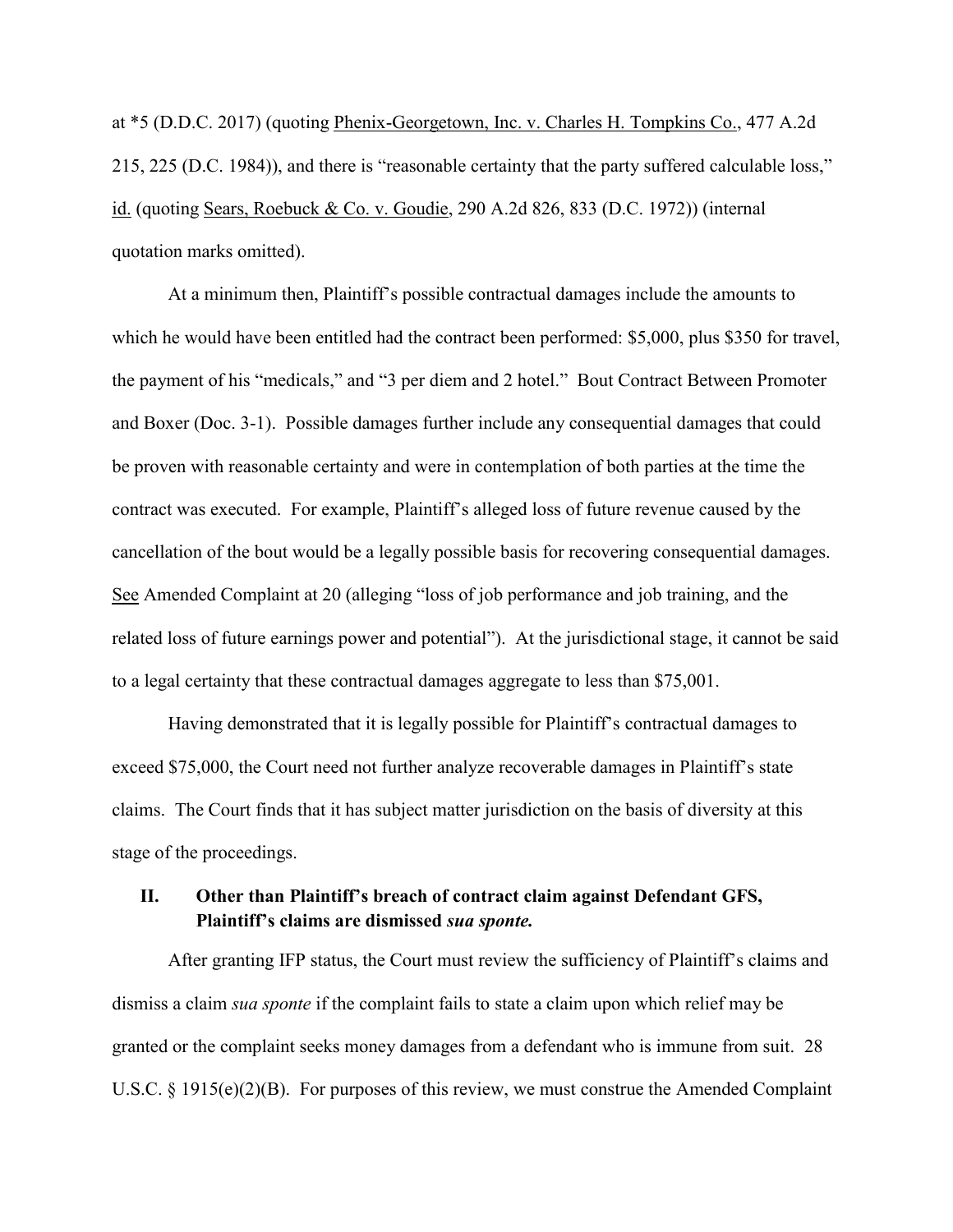at \*5 (D.D.C. 2017) (quoting Phenix-Georgetown, Inc. v. Charles H. Tompkins Co., 477 A.2d 215, 225 (D.C. 1984)), and there is "reasonable certainty that the party suffered calculable loss," id. (quoting Sears, Roebuck & Co. v. Goudie, 290 A.2d 826, 833 (D.C. 1972)) (internal quotation marks omitted).

At a minimum then, Plaintiff's possible contractual damages include the amounts to which he would have been entitled had the contract been performed: \$5,000, plus \$350 for travel, the payment of his "medicals," and "3 per diem and 2 hotel." Bout Contract Between Promoter and Boxer (Doc. 3-1). Possible damages further include any consequential damages that could be proven with reasonable certainty and were in contemplation of both parties at the time the contract was executed. For example, Plaintiff's alleged loss of future revenue caused by the cancellation of the bout would be a legally possible basis for recovering consequential damages. See Amended Complaint at 20 (alleging "loss of job performance and job training, and the related loss of future earnings power and potential"). At the jurisdictional stage, it cannot be said to a legal certainty that these contractual damages aggregate to less than \$75,001.

Having demonstrated that it is legally possible for Plaintiff's contractual damages to exceed \$75,000, the Court need not further analyze recoverable damages in Plaintiff's state claims. The Court finds that it has subject matter jurisdiction on the basis of diversity at this stage of the proceedings.

### **II. Other than Plaintiff's breach of contract claim against Defendant GFS, Plaintiff's claims are dismissed** *sua sponte.*

After granting IFP status, the Court must review the sufficiency of Plaintiff's claims and dismiss a claim *sua sponte* if the complaint fails to state a claim upon which relief may be granted or the complaint seeks money damages from a defendant who is immune from suit. 28 U.S.C. § 1915(e)(2)(B). For purposes of this review, we must construe the Amended Complaint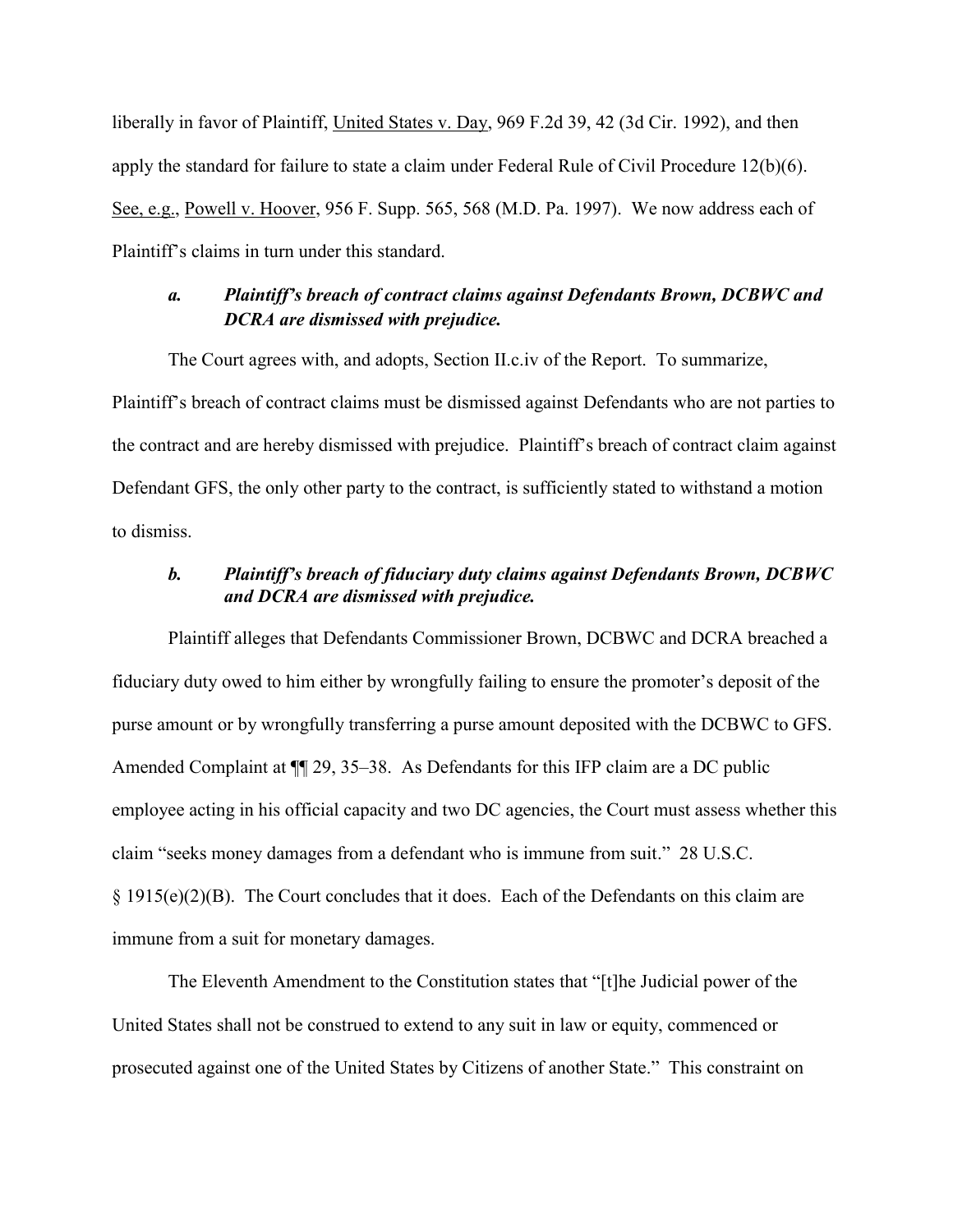liberally in favor of Plaintiff, United States v. Day, 969 F.2d 39, 42 (3d Cir. 1992), and then apply the standard for failure to state a claim under Federal Rule of Civil Procedure 12(b)(6). See, e.g., Powell v. Hoover, 956 F. Supp. 565, 568 (M.D. Pa. 1997). We now address each of Plaintiff's claims in turn under this standard.

# *a. Plaintiff's breach of contract claims against Defendants Brown, DCBWC and DCRA are dismissed with prejudice.*

The Court agrees with, and adopts, Section II.c.iv of the Report. To summarize, Plaintiff's breach of contract claims must be dismissed against Defendants who are not parties to the contract and are hereby dismissed with prejudice. Plaintiff's breach of contract claim against Defendant GFS, the only other party to the contract, is sufficiently stated to withstand a motion to dismiss.

### *b. Plaintiff's breach of fiduciary duty claims against Defendants Brown, DCBWC and DCRA are dismissed with prejudice.*

Plaintiff alleges that Defendants Commissioner Brown, DCBWC and DCRA breached a fiduciary duty owed to him either by wrongfully failing to ensure the promoter's deposit of the purse amount or by wrongfully transferring a purse amount deposited with the DCBWC to GFS. Amended Complaint at  $\P$  29, 35–38. As Defendants for this IFP claim are a DC public employee acting in his official capacity and two DC agencies, the Court must assess whether this claim "seeks money damages from a defendant who is immune from suit." 28 U.S.C. § 1915(e)(2)(B). The Court concludes that it does. Each of the Defendants on this claim are immune from a suit for monetary damages.

The Eleventh Amendment to the Constitution states that "[t]he Judicial power of the United States shall not be construed to extend to any suit in law or equity, commenced or prosecuted against one of the United States by Citizens of another State." This constraint on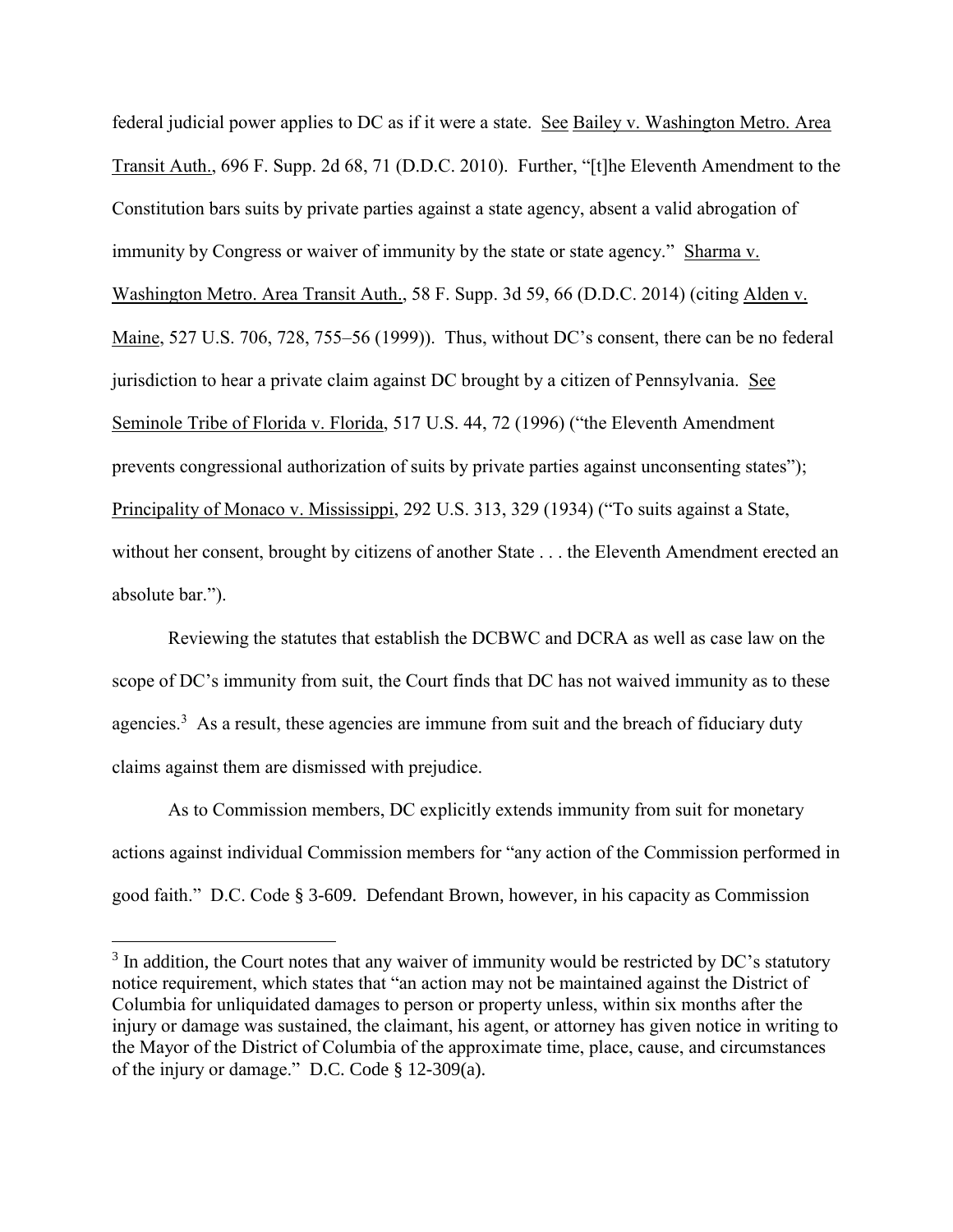federal judicial power applies to DC as if it were a state. See Bailey v. Washington Metro. Area Transit Auth., 696 F. Supp. 2d 68, 71 (D.D.C. 2010). Further, "[t]he Eleventh Amendment to the Constitution bars suits by private parties against a state agency, absent a valid abrogation of immunity by Congress or waiver of immunity by the state or state agency." Sharma v. Washington Metro. Area Transit Auth., 58 F. Supp. 3d 59, 66 (D.D.C. 2014) (citing Alden v. Maine, 527 U.S. 706, 728, 755–56 (1999)). Thus, without DC's consent, there can be no federal jurisdiction to hear a private claim against DC brought by a citizen of Pennsylvania. See Seminole Tribe of Florida v. Florida, 517 U.S. 44, 72 (1996) ("the Eleventh Amendment prevents congressional authorization of suits by private parties against unconsenting states"); Principality of Monaco v. Mississippi, 292 U.S. 313, 329 (1934) ("To suits against a State, without her consent, brought by citizens of another State . . . the Eleventh Amendment erected an absolute bar.").

Reviewing the statutes that establish the DCBWC and DCRA as well as case law on the scope of DC's immunity from suit, the Court finds that DC has not waived immunity as to these agencies.<sup>3</sup> As a result, these agencies are immune from suit and the breach of fiduciary duty claims against them are dismissed with prejudice.

As to Commission members, DC explicitly extends immunity from suit for monetary actions against individual Commission members for "any action of the Commission performed in good faith." D.C. Code § 3-609. Defendant Brown, however, in his capacity as Commission

 $\overline{a}$ 

 $3$  In addition, the Court notes that any waiver of immunity would be restricted by DC's statutory notice requirement, which states that "an action may not be maintained against the District of Columbia for unliquidated damages to person or property unless, within six months after the injury or damage was sustained, the claimant, his agent, or attorney has given notice in writing to the Mayor of the District of Columbia of the approximate time, place, cause, and circumstances of the injury or damage." D.C. Code § 12-309(a).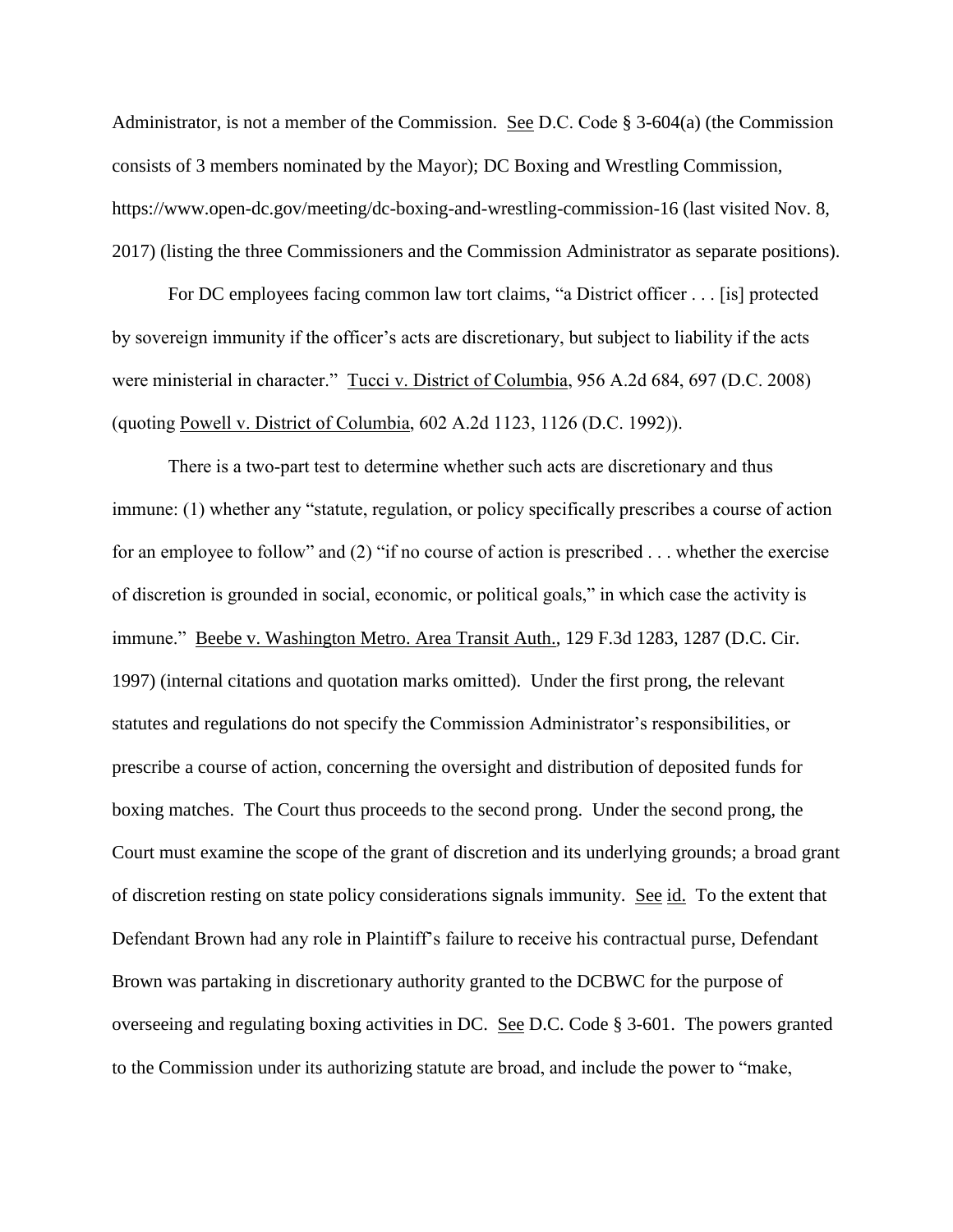Administrator, is not a member of the Commission. See D.C. Code  $\S$  3-604(a) (the Commission consists of 3 members nominated by the Mayor); DC Boxing and Wrestling Commission, https://www.open-dc.gov/meeting/dc-boxing-and-wrestling-commission-16 (last visited Nov. 8, 2017) (listing the three Commissioners and the Commission Administrator as separate positions).

For DC employees facing common law tort claims, "a District officer . . . [is] protected by sovereign immunity if the officer's acts are discretionary, but subject to liability if the acts were ministerial in character." Tucci v. District of Columbia, 956 A.2d 684, 697 (D.C. 2008) (quoting Powell v. District of Columbia, 602 A.2d 1123, 1126 (D.C. 1992)).

There is a two-part test to determine whether such acts are discretionary and thus immune: (1) whether any "statute, regulation, or policy specifically prescribes a course of action for an employee to follow" and (2) "if no course of action is prescribed . . . whether the exercise of discretion is grounded in social, economic, or political goals," in which case the activity is immune." Beebe v. Washington Metro. Area Transit Auth., 129 F.3d 1283, 1287 (D.C. Cir. 1997) (internal citations and quotation marks omitted). Under the first prong, the relevant statutes and regulations do not specify the Commission Administrator's responsibilities, or prescribe a course of action, concerning the oversight and distribution of deposited funds for boxing matches. The Court thus proceeds to the second prong. Under the second prong, the Court must examine the scope of the grant of discretion and its underlying grounds; a broad grant of discretion resting on state policy considerations signals immunity. See id. To the extent that Defendant Brown had any role in Plaintiff's failure to receive his contractual purse, Defendant Brown was partaking in discretionary authority granted to the DCBWC for the purpose of overseeing and regulating boxing activities in DC. See D.C. Code § 3-601. The powers granted to the Commission under its authorizing statute are broad, and include the power to "make,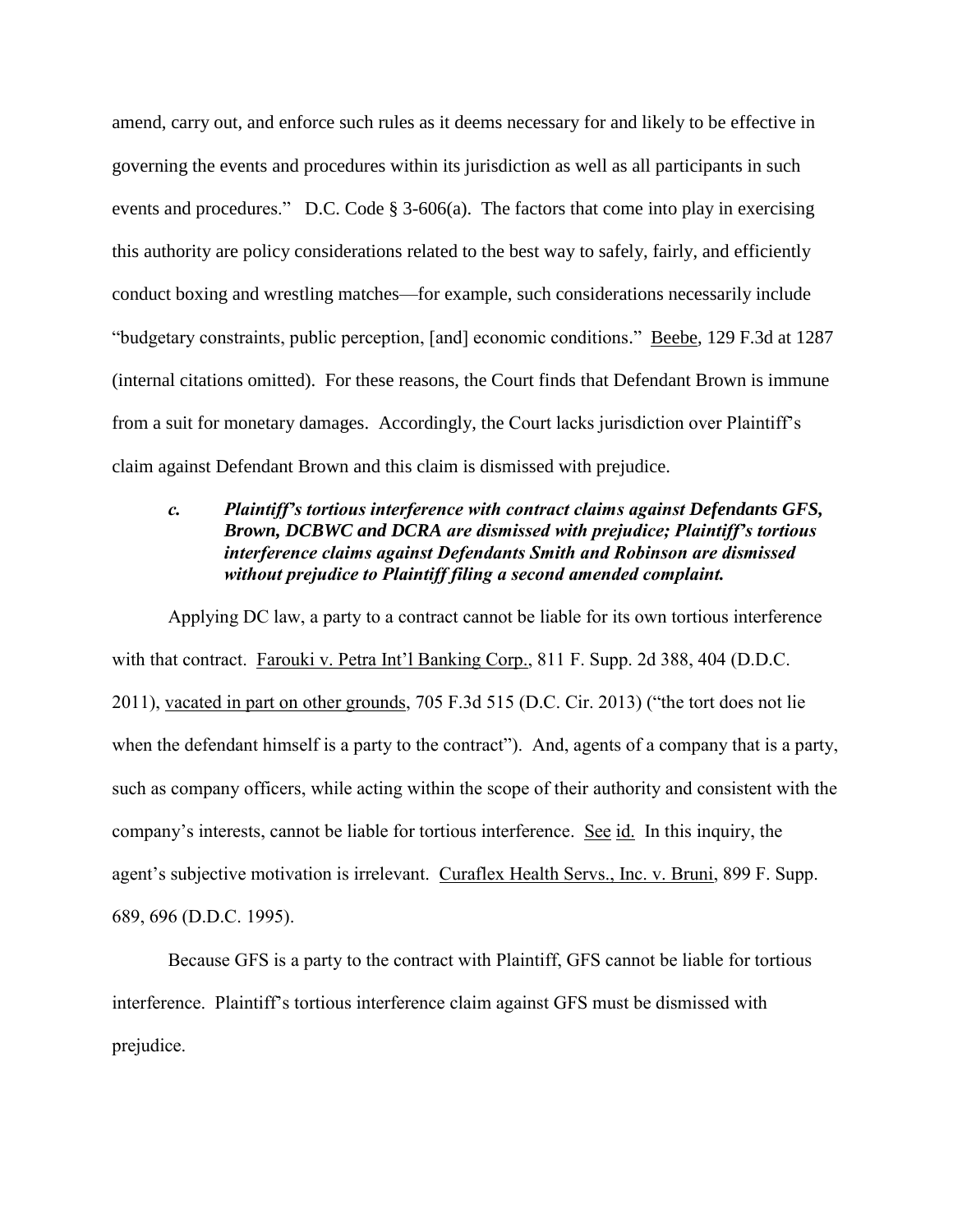amend, carry out, and enforce such rules as it deems necessary for and likely to be effective in governing the events and procedures within its jurisdiction as well as all participants in such events and procedures." D.C. Code § 3-606(a). The factors that come into play in exercising this authority are policy considerations related to the best way to safely, fairly, and efficiently conduct boxing and wrestling matches—for example, such considerations necessarily include "budgetary constraints, public perception, [and] economic conditions." Beebe, 129 F.3d at 1287 (internal citations omitted). For these reasons, the Court finds that Defendant Brown is immune from a suit for monetary damages. Accordingly, the Court lacks jurisdiction over Plaintiff's claim against Defendant Brown and this claim is dismissed with prejudice.

### *c. Plaintiff's tortious interference with contract claims against Defendants GFS, Brown, DCBWC and DCRA are dismissed with prejudice; Plaintiff's tortious interference claims against Defendants Smith and Robinson are dismissed without prejudice to Plaintiff filing a second amended complaint.*

Applying DC law, a party to a contract cannot be liable for its own tortious interference with that contract. Farouki v. Petra Int'l Banking Corp., 811 F. Supp. 2d 388, 404 (D.D.C. 2011), vacated in part on other grounds, 705 F.3d 515 (D.C. Cir. 2013) ("the tort does not lie when the defendant himself is a party to the contract"). And, agents of a company that is a party, such as company officers, while acting within the scope of their authority and consistent with the company's interests, cannot be liable for tortious interference. See id. In this inquiry, the agent's subjective motivation is irrelevant. Curaflex Health Servs., Inc. v. Bruni, 899 F. Supp. 689, 696 (D.D.C. 1995).

Because GFS is a party to the contract with Plaintiff, GFS cannot be liable for tortious interference. Plaintiff's tortious interference claim against GFS must be dismissed with prejudice.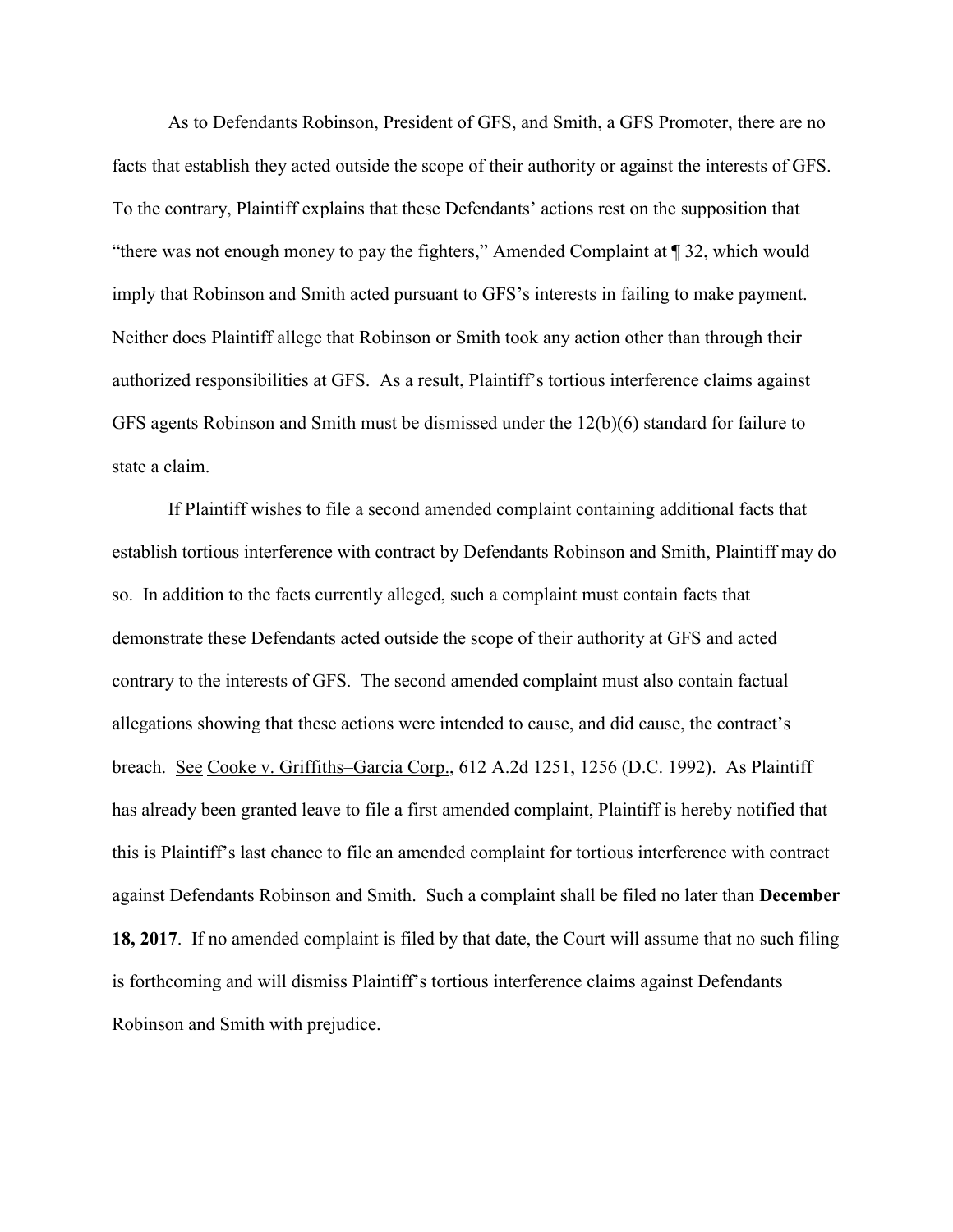As to Defendants Robinson, President of GFS, and Smith, a GFS Promoter, there are no facts that establish they acted outside the scope of their authority or against the interests of GFS. To the contrary, Plaintiff explains that these Defendants' actions rest on the supposition that "there was not enough money to pay the fighters," Amended Complaint at ¶ 32, which would imply that Robinson and Smith acted pursuant to GFS's interests in failing to make payment. Neither does Plaintiff allege that Robinson or Smith took any action other than through their authorized responsibilities at GFS. As a result, Plaintiff's tortious interference claims against GFS agents Robinson and Smith must be dismissed under the 12(b)(6) standard for failure to state a claim.

If Plaintiff wishes to file a second amended complaint containing additional facts that establish tortious interference with contract by Defendants Robinson and Smith, Plaintiff may do so. In addition to the facts currently alleged, such a complaint must contain facts that demonstrate these Defendants acted outside the scope of their authority at GFS and acted contrary to the interests of GFS. The second amended complaint must also contain factual allegations showing that these actions were intended to cause, and did cause, the contract's breach. See Cooke v. Griffiths–Garcia Corp., 612 A.2d 1251, 1256 (D.C. 1992). As Plaintiff has already been granted leave to file a first amended complaint, Plaintiff is hereby notified that this is Plaintiff's last chance to file an amended complaint for tortious interference with contract against Defendants Robinson and Smith. Such a complaint shall be filed no later than **December 18, 2017**. If no amended complaint is filed by that date, the Court will assume that no such filing is forthcoming and will dismiss Plaintiff's tortious interference claims against Defendants Robinson and Smith with prejudice.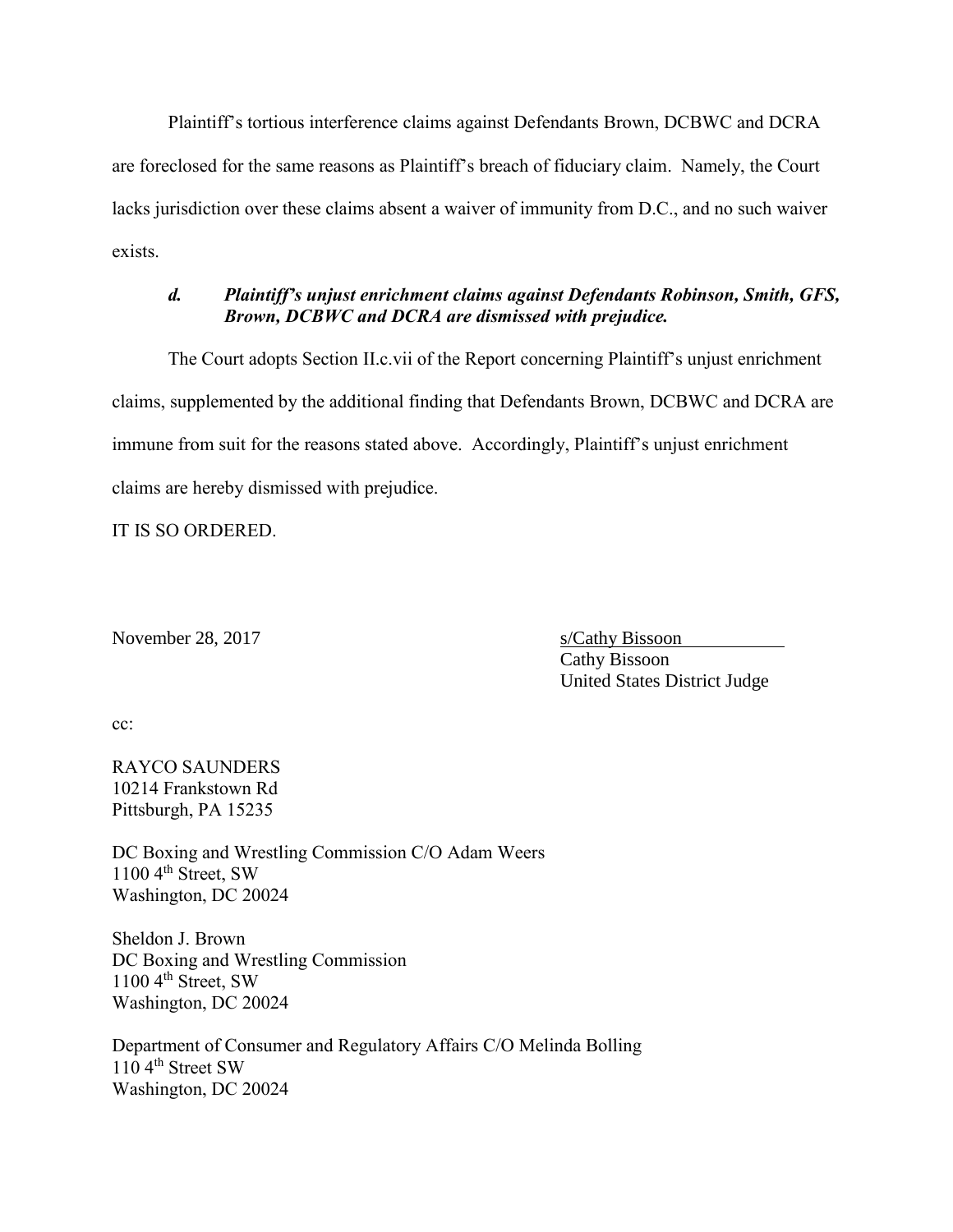Plaintiff's tortious interference claims against Defendants Brown, DCBWC and DCRA are foreclosed for the same reasons as Plaintiff's breach of fiduciary claim. Namely, the Court lacks jurisdiction over these claims absent a waiver of immunity from D.C., and no such waiver exists.

# *d. Plaintiff's unjust enrichment claims against Defendants Robinson, Smith, GFS, Brown, DCBWC and DCRA are dismissed with prejudice.*

The Court adopts Section II.c.vii of the Report concerning Plaintiff's unjust enrichment claims, supplemented by the additional finding that Defendants Brown, DCBWC and DCRA are immune from suit for the reasons stated above. Accordingly, Plaintiff's unjust enrichment claims are hereby dismissed with prejudice.

IT IS SO ORDERED.

November 28, 2017 s/Cathy Bissoon

Cathy Bissoon United States District Judge

cc:

RAYCO SAUNDERS 10214 Frankstown Rd Pittsburgh, PA 15235

DC Boxing and Wrestling Commission C/O Adam Weers 1100 4<sup>th</sup> Street, SW Washington, DC 20024

Sheldon J. Brown DC Boxing and Wrestling Commission 1100 4<sup>th</sup> Street, SW Washington, DC 20024

Department of Consumer and Regulatory Affairs C/O Melinda Bolling 110 4<sup>th</sup> Street SW Washington, DC 20024